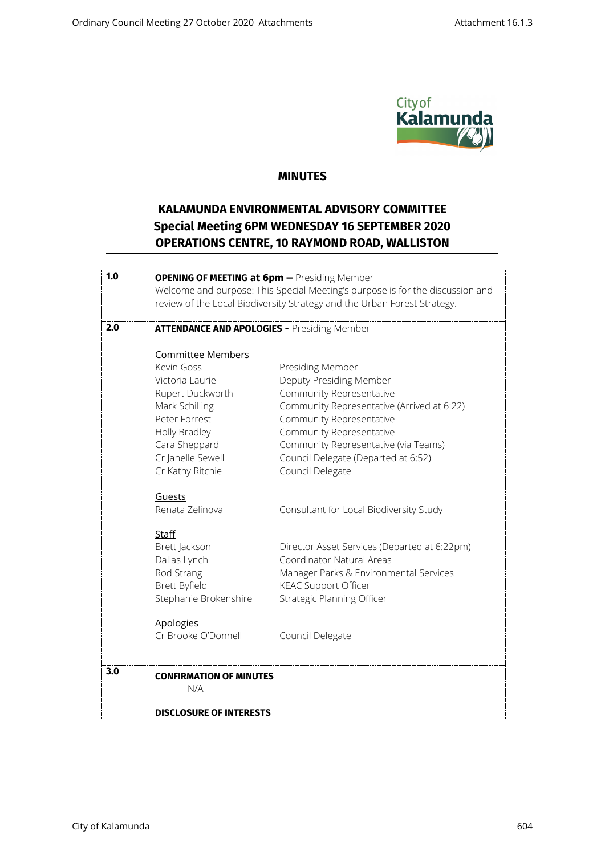

## **MINUTES**

## **KALAMUNDA ENVIRONMENTAL ADVISORY COMMITTEE Special Meeting 6PM WEDNESDAY 16 SEPTEMBER 2020 OPERATIONS CENTRE, 10 RAYMOND ROAD, WALLISTON**

| 1.0 | <b>OPENING OF MEETING at 6pm - Presiding Member</b>                           |                                                                          |
|-----|-------------------------------------------------------------------------------|--------------------------------------------------------------------------|
|     | Welcome and purpose: This Special Meeting's purpose is for the discussion and |                                                                          |
|     |                                                                               | review of the Local Biodiversity Strategy and the Urban Forest Strategy. |
|     |                                                                               |                                                                          |
| 2.0 | <b>ATTENDANCE AND APOLOGIES - Presiding Member</b>                            |                                                                          |
|     |                                                                               |                                                                          |
|     | Committee Members                                                             |                                                                          |
|     | Kevin Goss                                                                    | Presiding Member                                                         |
|     | Victoria Laurie                                                               | Deputy Presiding Member                                                  |
|     | Rupert Duckworth                                                              | Community Representative                                                 |
|     | Mark Schilling                                                                | Community Representative (Arrived at 6:22)                               |
|     | Peter Forrest                                                                 | Community Representative                                                 |
|     | Holly Bradley                                                                 | Community Representative                                                 |
|     | Cara Sheppard                                                                 | Community Representative (via Teams)                                     |
|     | Cr Janelle Sewell                                                             | Council Delegate (Departed at 6:52)                                      |
|     | Cr Kathy Ritchie                                                              | Council Delegate                                                         |
|     | Guests                                                                        |                                                                          |
|     | Renata Zelinova                                                               | Consultant for Local Biodiversity Study                                  |
|     | Staff                                                                         |                                                                          |
|     | Brett Jackson                                                                 | Director Asset Services (Departed at 6:22pm)                             |
|     | Dallas Lynch                                                                  | Coordinator Natural Areas                                                |
|     | Rod Strang                                                                    | Manager Parks & Environmental Services                                   |
|     | Brett Byfield                                                                 | <b>KEAC Support Officer</b>                                              |
|     | Stephanie Brokenshire                                                         | Strategic Planning Officer                                               |
|     | <b>Apologies</b>                                                              |                                                                          |
|     | Cr Brooke O'Donnell                                                           | Council Delegate                                                         |
|     |                                                                               |                                                                          |
| 3.0 | <b>CONFIRMATION OF MINUTES</b>                                                |                                                                          |
|     | N/A                                                                           |                                                                          |
|     | <b>DISCLOSURE OF INTERESTS</b>                                                |                                                                          |
|     |                                                                               |                                                                          |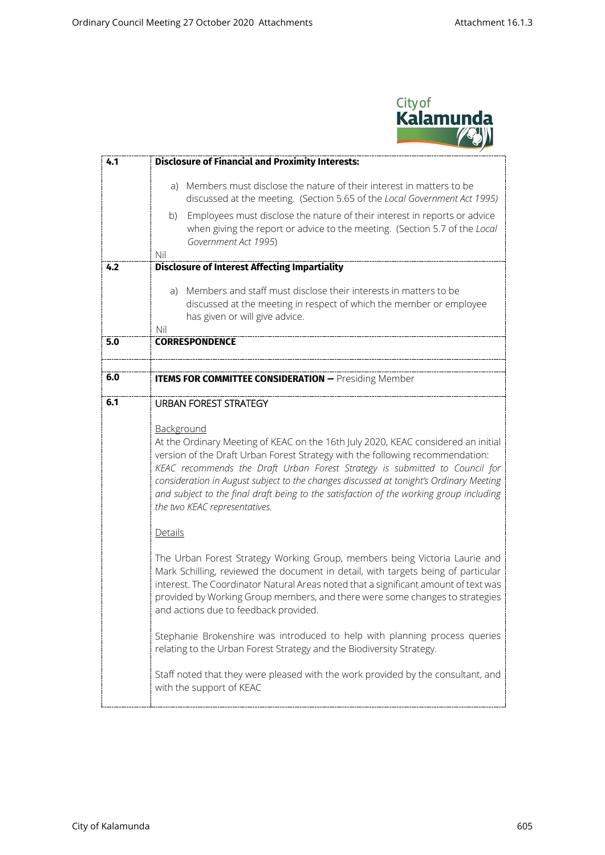

| 4.1 | <b>Disclosure of Financial and Proximity Interests:</b>                                                                                                                                                                                                                                                                                                                                                                                                                                                                                                                                                                                                                                                                                                                                                                                                                                                                                                                                                                                                                                                                                                       |  |
|-----|---------------------------------------------------------------------------------------------------------------------------------------------------------------------------------------------------------------------------------------------------------------------------------------------------------------------------------------------------------------------------------------------------------------------------------------------------------------------------------------------------------------------------------------------------------------------------------------------------------------------------------------------------------------------------------------------------------------------------------------------------------------------------------------------------------------------------------------------------------------------------------------------------------------------------------------------------------------------------------------------------------------------------------------------------------------------------------------------------------------------------------------------------------------|--|
|     | Members must disclose the nature of their interest in matters to be<br>a)<br>discussed at the meeting. (Section 5.65 of the Local Government Act 1995)<br>Employees must disclose the nature of their interest in reports or advice<br>b)<br>when giving the report or advice to the meeting. (Section 5.7 of the Local<br>Government Act 1995)                                                                                                                                                                                                                                                                                                                                                                                                                                                                                                                                                                                                                                                                                                                                                                                                               |  |
| 4.2 | Nil<br><b>Disclosure of Interest Affecting Impartiality</b>                                                                                                                                                                                                                                                                                                                                                                                                                                                                                                                                                                                                                                                                                                                                                                                                                                                                                                                                                                                                                                                                                                   |  |
|     | Members and staff must disclose their interests in matters to be<br>a)<br>discussed at the meeting in respect of which the member or employee<br>has given or will give advice.<br>Nil                                                                                                                                                                                                                                                                                                                                                                                                                                                                                                                                                                                                                                                                                                                                                                                                                                                                                                                                                                        |  |
| 5.0 | <b>CORRESPONDENCE</b>                                                                                                                                                                                                                                                                                                                                                                                                                                                                                                                                                                                                                                                                                                                                                                                                                                                                                                                                                                                                                                                                                                                                         |  |
| 6.0 | <b>ITEMS FOR COMMITTEE CONSIDERATION - Presiding Member</b>                                                                                                                                                                                                                                                                                                                                                                                                                                                                                                                                                                                                                                                                                                                                                                                                                                                                                                                                                                                                                                                                                                   |  |
| 6.1 | <b>URBAN FOREST STRATEGY</b><br>Background<br>At the Ordinary Meeting of KEAC on the 16th July 2020, KEAC considered an initial<br>version of the Draft Urban Forest Strategy with the following recommendation:<br>KEAC recommends the Draft Urban Forest Strategy is submitted to Council for<br>consideration in August subject to the changes discussed at tonight's Ordinary Meeting<br>and subject to the final draft being to the satisfaction of the working group including<br>the two KEAC representatives.<br>Details<br>The Urban Forest Strategy Working Group, members being Victoria Laurie and<br>Mark Schilling, reviewed the document in detail, with targets being of particular<br>interest. The Coordinator Natural Areas noted that a significant amount of text was<br>provided by Working Group members, and there were some changes to strategies<br>and actions due to feedback provided.<br>Stephanie Brokenshire was introduced to help with planning process queries<br>relating to the Urban Forest Strategy and the Biodiversity Strategy.<br>Staff noted that they were pleased with the work provided by the consultant, and |  |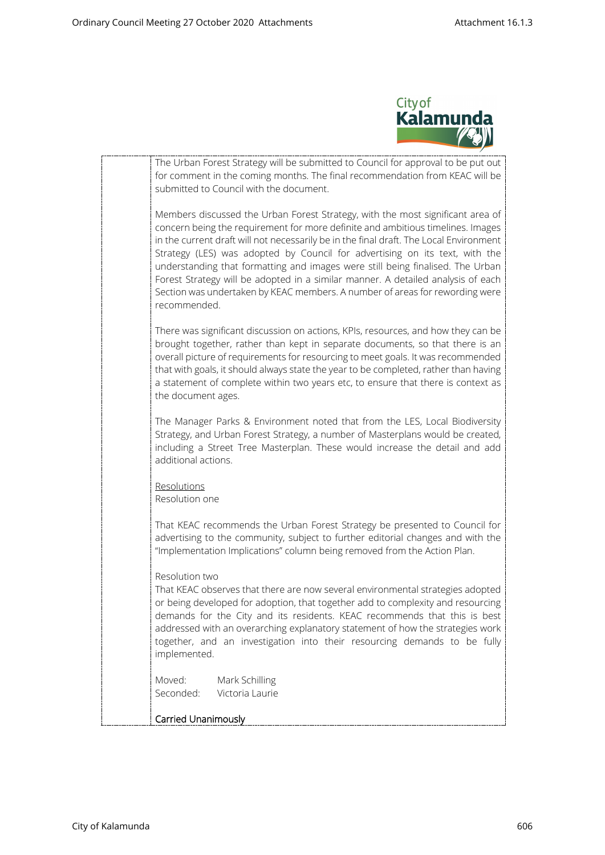

| The Urban Forest Strategy will be submitted to Council for approval to be put out<br>for comment in the coming months. The final recommendation from KEAC will be<br>submitted to Council with the document.                                                                                                                                                                                                                                                                                                                                                                                                     |
|------------------------------------------------------------------------------------------------------------------------------------------------------------------------------------------------------------------------------------------------------------------------------------------------------------------------------------------------------------------------------------------------------------------------------------------------------------------------------------------------------------------------------------------------------------------------------------------------------------------|
| Members discussed the Urban Forest Strategy, with the most significant area of<br>concern being the requirement for more definite and ambitious timelines. Images<br>in the current draft will not necessarily be in the final draft. The Local Environment<br>Strategy (LES) was adopted by Council for advertising on its text, with the<br>understanding that formatting and images were still being finalised. The Urban<br>Forest Strategy will be adopted in a similar manner. A detailed analysis of each<br>Section was undertaken by KEAC members. A number of areas for rewording were<br>recommended. |
| There was significant discussion on actions, KPIs, resources, and how they can be<br>brought together, rather than kept in separate documents, so that there is an<br>overall picture of requirements for resourcing to meet goals. It was recommended<br>that with goals, it should always state the year to be completed, rather than having<br>a statement of complete within two years etc, to ensure that there is context as<br>the document ages.                                                                                                                                                         |
| The Manager Parks & Environment noted that from the LES, Local Biodiversity<br>Strategy, and Urban Forest Strategy, a number of Masterplans would be created,<br>including a Street Tree Masterplan. These would increase the detail and add<br>additional actions.                                                                                                                                                                                                                                                                                                                                              |
| Resolutions<br>Resolution one                                                                                                                                                                                                                                                                                                                                                                                                                                                                                                                                                                                    |
| That KEAC recommends the Urban Forest Strategy be presented to Council for<br>advertising to the community, subject to further editorial changes and with the<br>"Implementation Implications" column being removed from the Action Plan.                                                                                                                                                                                                                                                                                                                                                                        |
| Resolution two<br>That KEAC observes that there are now several environmental strategies adopted<br>or being developed for adoption, that together add to complexity and resourcing<br>demands for the City and its residents. KEAC recommends that this is best<br>addressed with an overarching explanatory statement of how the strategies work<br>together, and an investigation into their resourcing demands to be fully<br>implemented.                                                                                                                                                                   |
| Moved:<br>Mark Schilling<br>Seconded:<br>Victoria Laurie                                                                                                                                                                                                                                                                                                                                                                                                                                                                                                                                                         |
| Carried Unanimously                                                                                                                                                                                                                                                                                                                                                                                                                                                                                                                                                                                              |